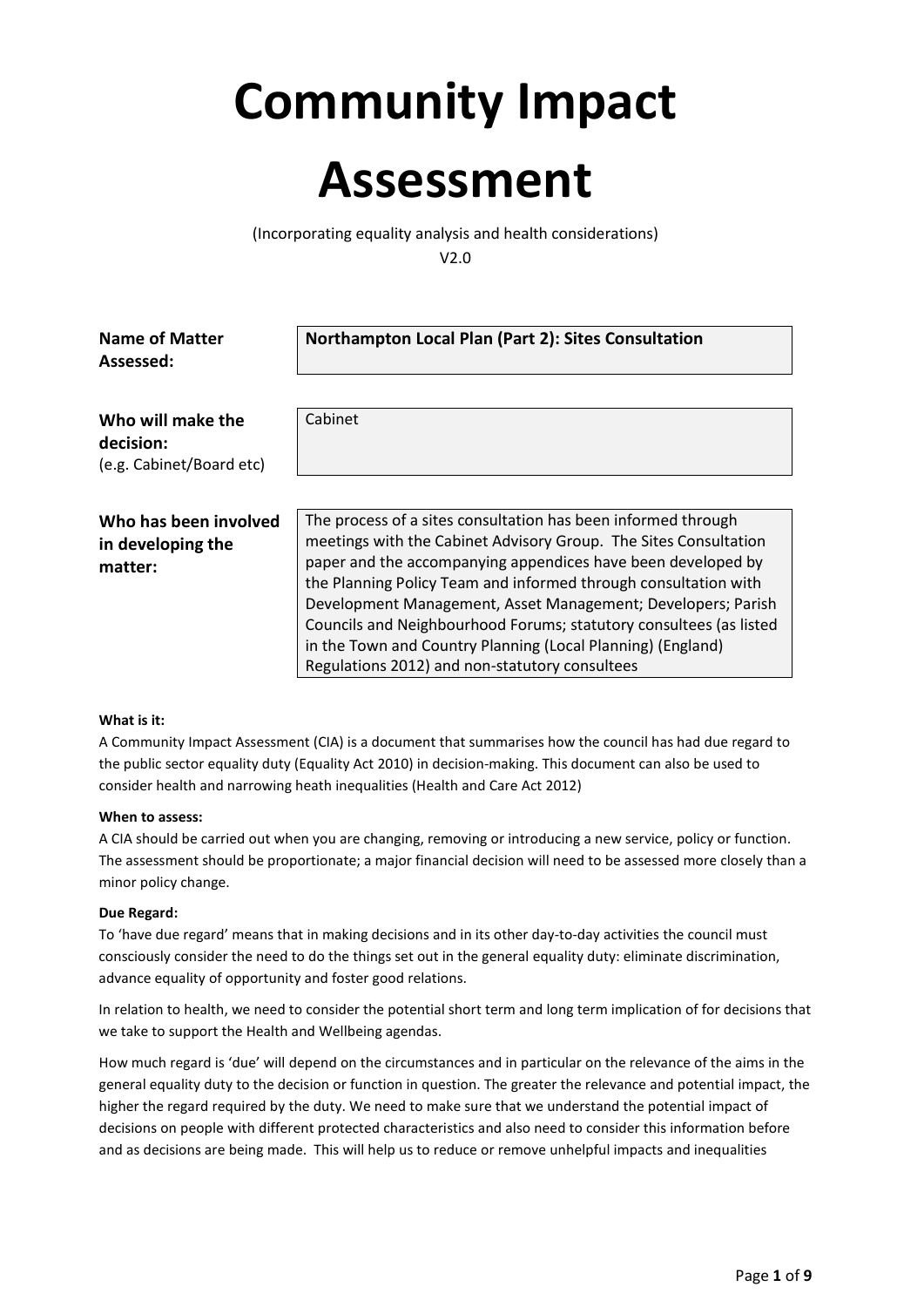# **Community Impact**

## **Assessment**

(Incorporating equality analysis and health considerations) V2.0

| <b>Name of Matter</b><br>Assessed:                         | Northampton Local Plan (Part 2): Sites Consultation                                                                                                                                                                                                                                                                                                                                                                                                                                                                         |  |
|------------------------------------------------------------|-----------------------------------------------------------------------------------------------------------------------------------------------------------------------------------------------------------------------------------------------------------------------------------------------------------------------------------------------------------------------------------------------------------------------------------------------------------------------------------------------------------------------------|--|
| Who will make the<br>decision:<br>(e.g. Cabinet/Board etc) | Cabinet                                                                                                                                                                                                                                                                                                                                                                                                                                                                                                                     |  |
| Who has been involved<br>in developing the<br>matter:      | The process of a sites consultation has been informed through<br>meetings with the Cabinet Advisory Group. The Sites Consultation<br>paper and the accompanying appendices have been developed by<br>the Planning Policy Team and informed through consultation with<br>Development Management, Asset Management; Developers; Parish<br>Councils and Neighbourhood Forums; statutory consultees (as listed<br>in the Town and Country Planning (Local Planning) (England)<br>Regulations 2012) and non-statutory consultees |  |

#### **What is it:**

A Community Impact Assessment (CIA) is a document that summarises how the council has had due regard to the public sector equality duty (Equality Act 2010) in decision-making. This document can also be used to consider health and narrowing heath inequalities (Health and Care Act 2012)

#### **When to assess:**

A CIA should be carried out when you are changing, removing or introducing a new service, policy or function. The assessment should be proportionate; a major financial decision will need to be assessed more closely than a minor policy change.

#### **Due Regard:**

To 'have due regard' means that in making decisions and in its other day-to-day activities the council must consciously consider the need to do the things set out in the general equality duty: eliminate discrimination, advance equality of opportunity and foster good relations.

In relation to health, we need to consider the potential short term and long term implication of for decisions that we take to support the Health and Wellbeing agendas.

How much regard is 'due' will depend on the circumstances and in particular on the relevance of the aims in the general equality duty to the decision or function in question. The greater the relevance and potential impact, the higher the regard required by the duty. We need to make sure that we understand the potential impact of decisions on people with different protected characteristics and also need to consider this information before and as decisions are being made. This will help us to reduce or remove unhelpful impacts and inequalities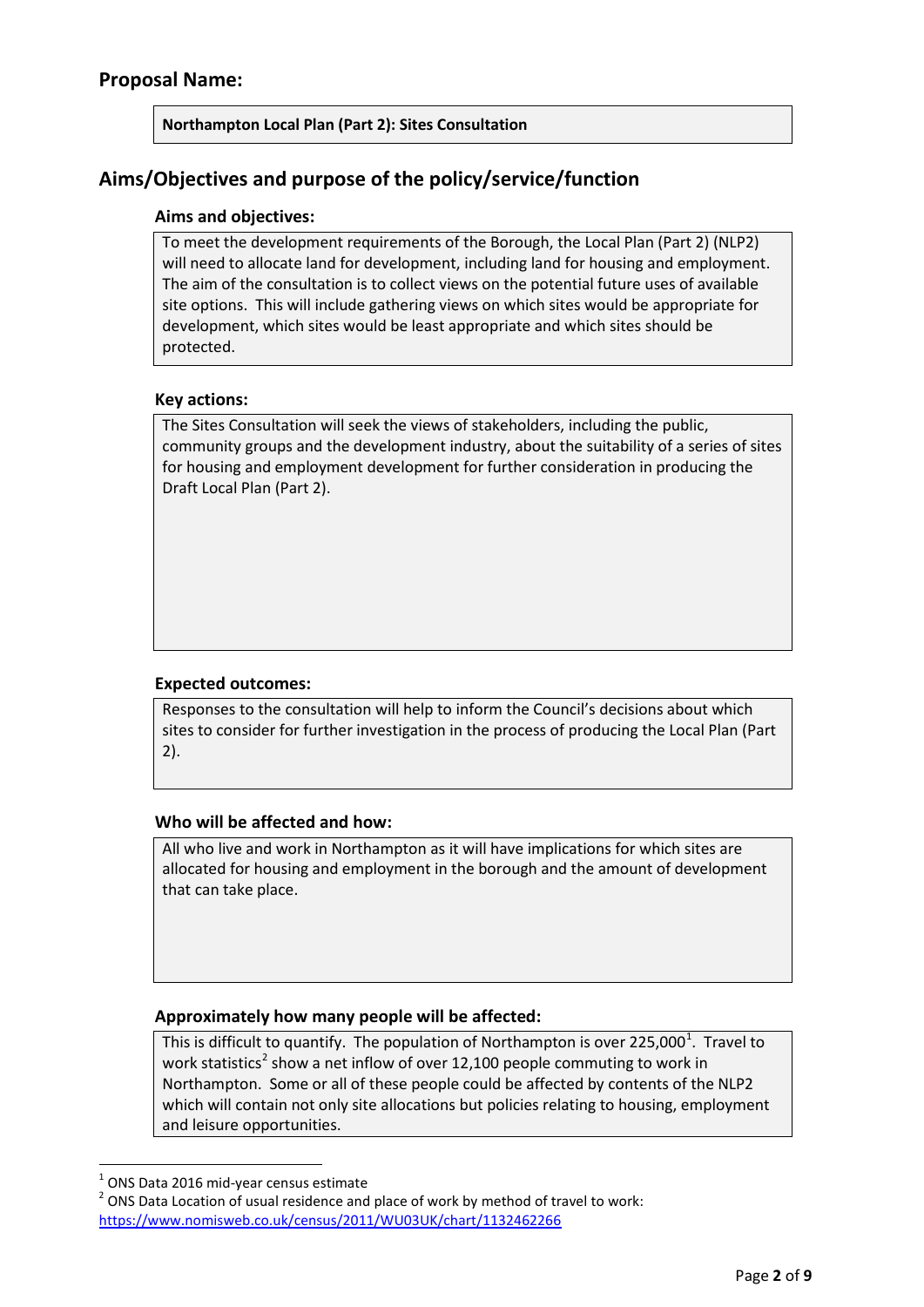## **Northampton Local Plan (Part 2): Sites Consultation**

## **Aims/Objectives and purpose of the policy/service/function**

## **Aims and objectives:**

To meet the development requirements of the Borough, the Local Plan (Part 2) (NLP2) will need to allocate land for development, including land for housing and employment. The aim of the consultation is to collect views on the potential future uses of available site options. This will include gathering views on which sites would be appropriate for development, which sites would be least appropriate and which sites should be protected.

#### **Key actions:**

The Sites Consultation will seek the views of stakeholders, including the public, community groups and the development industry, about the suitability of a series of sites for housing and employment development for further consideration in producing the Draft Local Plan (Part 2).

## **Expected outcomes:**

Responses to the consultation will help to inform the Council's decisions about which sites to consider for further investigation in the process of producing the Local Plan (Part 2).

## **Who will be affected and how:**

All who live and work in Northampton as it will have implications for which sites are allocated for housing and employment in the borough and the amount of development that can take place.

## **Approximately how many people will be affected:**

This is difficult to quantify. The population of Northampton is over 225,000<sup>[1](#page-1-0)</sup>. Travel to work statistics<sup>[2](#page-1-1)</sup> show a net inflow of over 12,100 people commuting to work in Northampton. Some or all of these people could be affected by contents of the NLP2 which will contain not only site allocations but policies relating to housing, employment and leisure opportunities.

<span id="page-1-1"></span>

<span id="page-1-0"></span><sup>&</sup>lt;sup>1</sup> ONS Data 2016 mid-year census estimate<br><sup>2</sup> ONS Data Location of usual residence and place of work by method of travel to work: <https://www.nomisweb.co.uk/census/2011/WU03UK/chart/1132462266>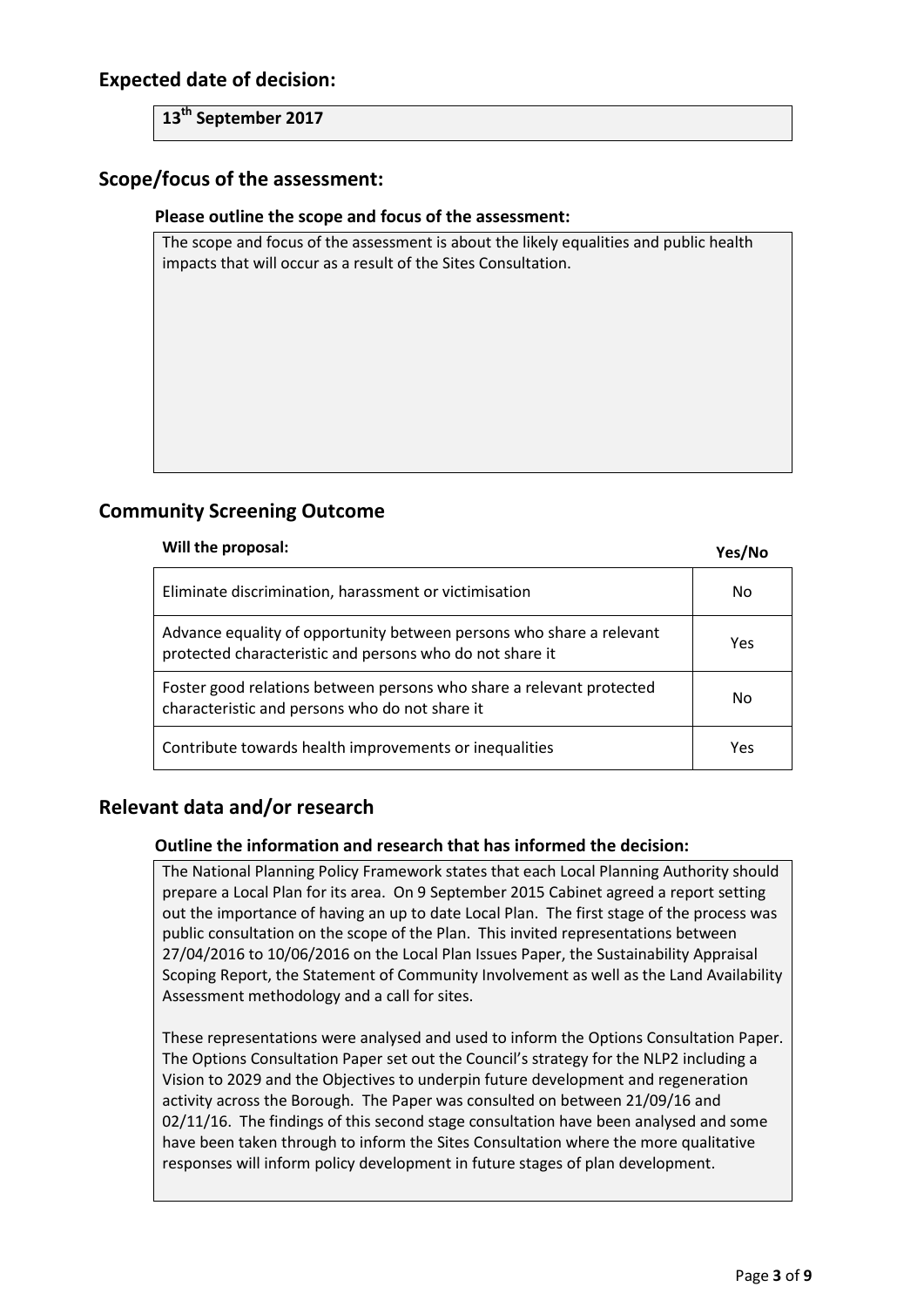## **Expected date of decision:**

**13th September 2017**

## **Scope/focus of the assessment:**

#### **Please outline the scope and focus of the assessment:**

The scope and focus of the assessment is about the likely equalities and public health impacts that will occur as a result of the Sites Consultation.

## **Community Screening Outcome**

## **Will the proposal: Yes/No**

| Eliminate discrimination, harassment or victimisation                                                                            | No  |
|----------------------------------------------------------------------------------------------------------------------------------|-----|
| Advance equality of opportunity between persons who share a relevant<br>protected characteristic and persons who do not share it | Yes |
| Foster good relations between persons who share a relevant protected<br>characteristic and persons who do not share it           | No  |
| Contribute towards health improvements or inequalities                                                                           | Yes |

## **Relevant data and/or research**

## **Outline the information and research that has informed the decision:**

The National Planning Policy Framework states that each Local Planning Authority should prepare a Local Plan for its area. On 9 September 2015 Cabinet agreed a report setting out the importance of having an up to date Local Plan. The first stage of the process was public consultation on the scope of the Plan. This invited representations between 27/04/2016 to 10/06/2016 on the Local Plan Issues Paper, the Sustainability Appraisal Scoping Report, the Statement of Community Involvement as well as the Land Availability Assessment methodology and a call for sites.

These representations were analysed and used to inform the Options Consultation Paper. The Options Consultation Paper set out the Council's strategy for the NLP2 including a Vision to 2029 and the Objectives to underpin future development and regeneration activity across the Borough. The Paper was consulted on between 21/09/16 and 02/11/16. The findings of this second stage consultation have been analysed and some have been taken through to inform the Sites Consultation where the more qualitative responses will inform policy development in future stages of plan development.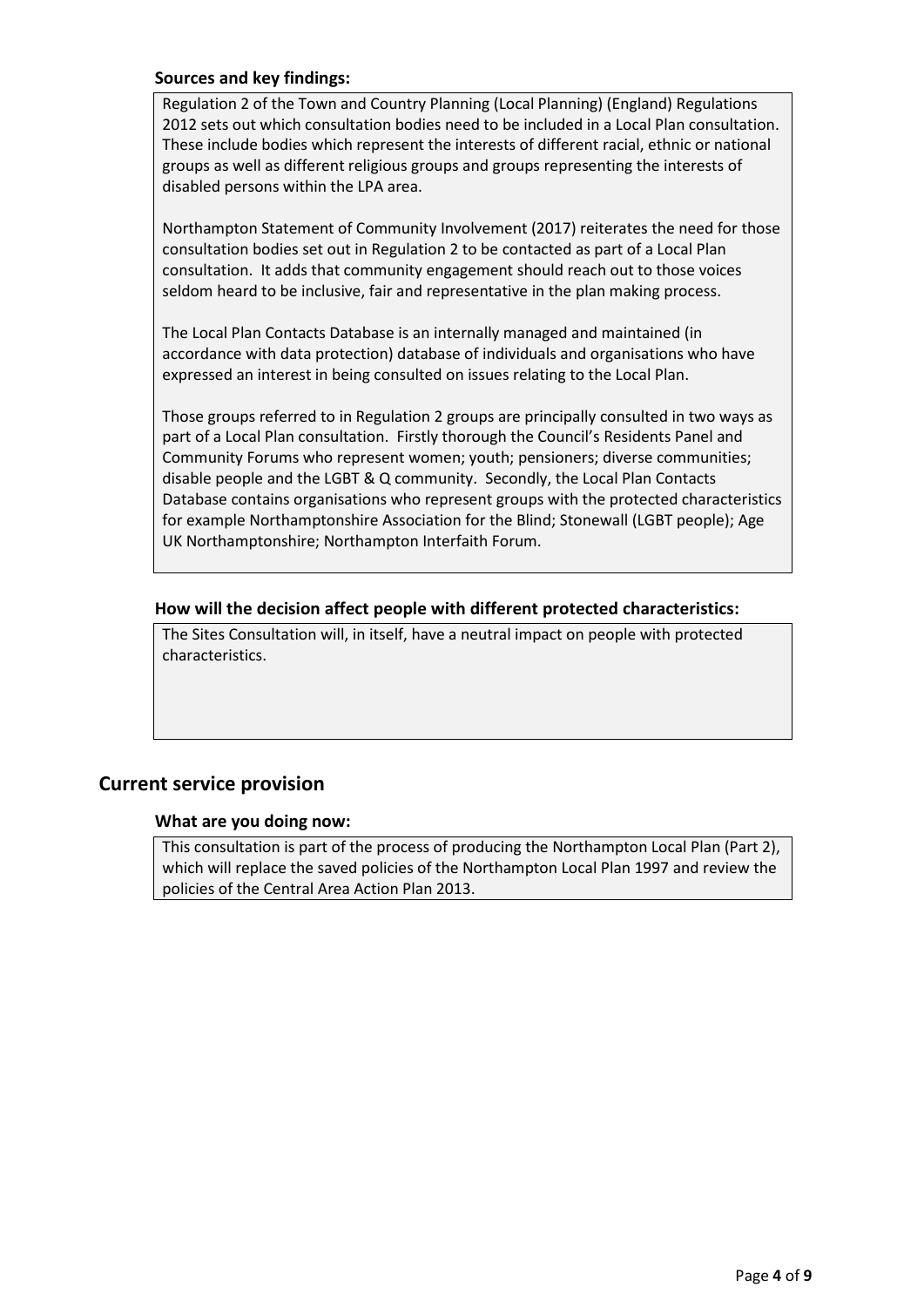## **Sources and key findings:**

Regulation 2 of the Town and Country Planning (Local Planning) (England) Regulations 2012 sets out which consultation bodies need to be included in a Local Plan consultation. These include bodies which represent the interests of different racial, ethnic or national groups as well as different religious groups and groups representing the interests of disabled persons within the LPA area.

Northampton Statement of Community Involvement (2017) reiterates the need for those consultation bodies set out in Regulation 2 to be contacted as part of a Local Plan consultation. It adds that community engagement should reach out to those voices seldom heard to be inclusive, fair and representative in the plan making process.

The Local Plan Contacts Database is an internally managed and maintained (in accordance with data protection) database of individuals and organisations who have expressed an interest in being consulted on issues relating to the Local Plan.

Those groups referred to in Regulation 2 groups are principally consulted in two ways as part of a Local Plan consultation. Firstly thorough the Council's Residents Panel and Community Forums who represent women; youth; pensioners; diverse communities; disable people and the LGBT & Q community. Secondly, the Local Plan Contacts Database contains organisations who represent groups with the protected characteristics for example Northamptonshire Association for the Blind; Stonewall (LGBT people); Age UK Northamptonshire; Northampton Interfaith Forum.

#### **How will the decision affect people with different protected characteristics:**

The Sites Consultation will, in itself, have a neutral impact on people with protected characteristics.

## **Current service provision**

## **What are you doing now:**

This consultation is part of the process of producing the Northampton Local Plan (Part 2), which will replace the saved policies of the Northampton Local Plan 1997 and review the policies of the Central Area Action Plan 2013.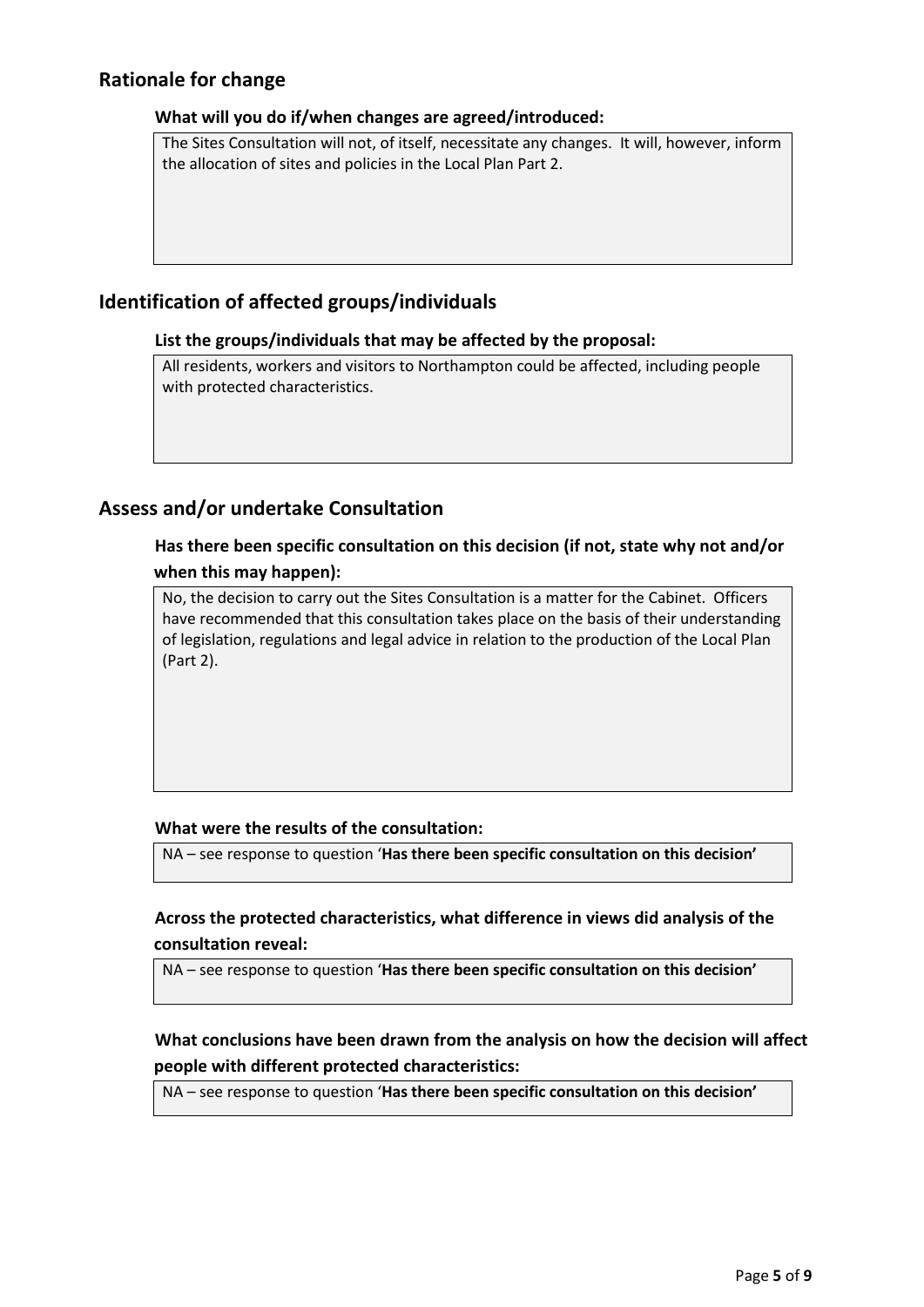## **Rationale for change**

## **What will you do if/when changes are agreed/introduced:**

The Sites Consultation will not, of itself, necessitate any changes. It will, however, inform the allocation of sites and policies in the Local Plan Part 2.

## **Identification of affected groups/individuals**

## **List the groups/individuals that may be affected by the proposal:**

All residents, workers and visitors to Northampton could be affected, including people with protected characteristics.

## **Assess and/or undertake Consultation**

## **Has there been specific consultation on this decision (if not, state why not and/or when this may happen):**

No, the decision to carry out the Sites Consultation is a matter for the Cabinet. Officers have recommended that this consultation takes place on the basis of their understanding of legislation, regulations and legal advice in relation to the production of the Local Plan (Part 2).

## **What were the results of the consultation:**

NA – see response to question '**Has there been specific consultation on this decision'**

## **Across the protected characteristics, what difference in views did analysis of the consultation reveal:**

NA – see response to question '**Has there been specific consultation on this decision'**

## **What conclusions have been drawn from the analysis on how the decision will affect people with different protected characteristics:**

NA – see response to question '**Has there been specific consultation on this decision'**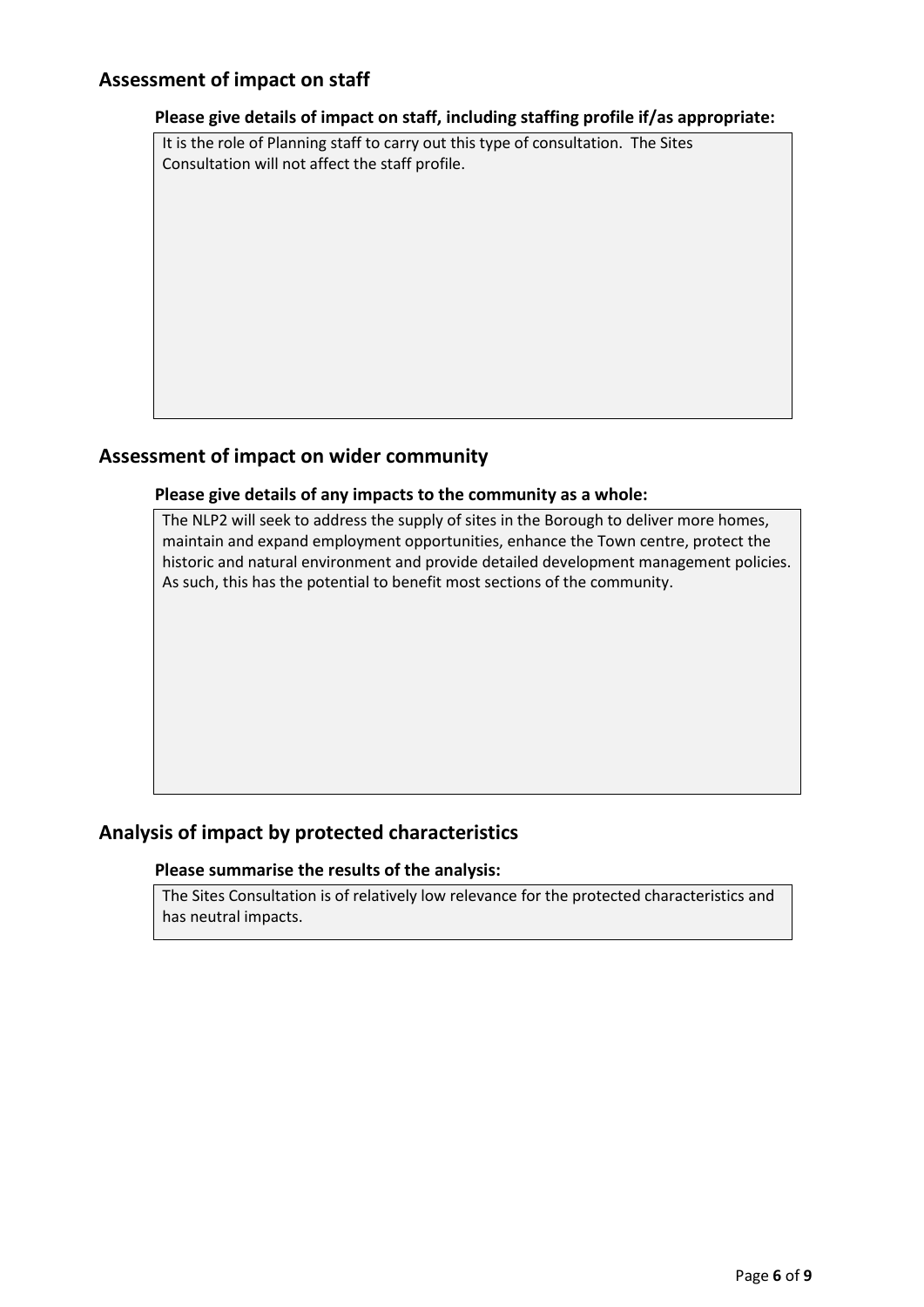## **Assessment of impact on staff**

#### **Please give details of impact on staff, including staffing profile if/as appropriate:**

It is the role of Planning staff to carry out this type of consultation. The Sites Consultation will not affect the staff profile.

## **Assessment of impact on wider community**

#### **Please give details of any impacts to the community as a whole:**

The NLP2 will seek to address the supply of sites in the Borough to deliver more homes, maintain and expand employment opportunities, enhance the Town centre, protect the historic and natural environment and provide detailed development management policies. As such, this has the potential to benefit most sections of the community.

## **Analysis of impact by protected characteristics**

#### **Please summarise the results of the analysis:**

The Sites Consultation is of relatively low relevance for the protected characteristics and has neutral impacts.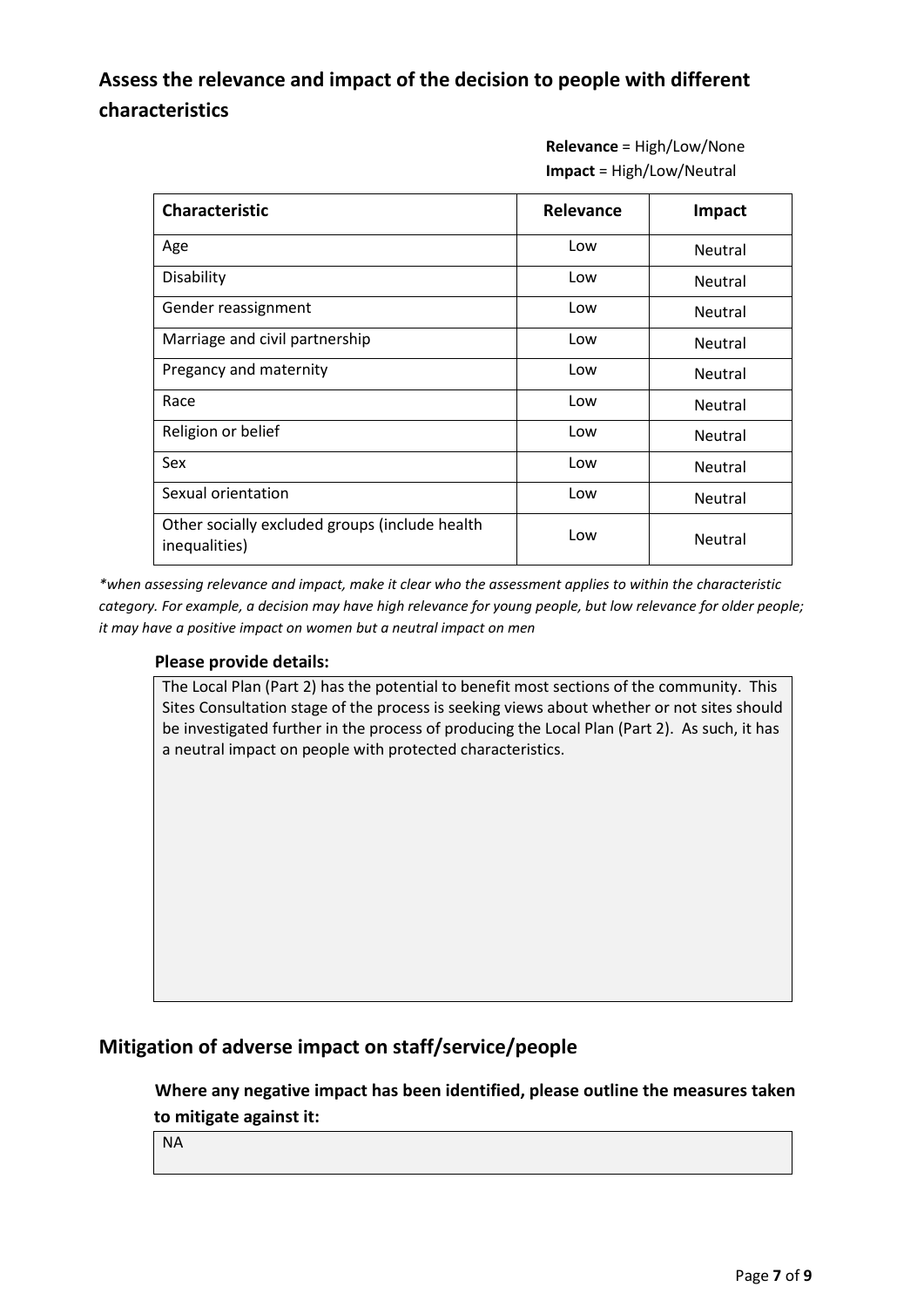## **Assess the relevance and impact of the decision to people with different characteristics**

**Relevance** = High/Low/None **Impact** = High/Low/Neutral

| <b>Characteristic</b>                                           | <b>Relevance</b> | Impact         |
|-----------------------------------------------------------------|------------------|----------------|
| Age                                                             | Low              | <b>Neutral</b> |
| Disability                                                      | Low              | <b>Neutral</b> |
| Gender reassignment                                             | Low              | <b>Neutral</b> |
| Marriage and civil partnership                                  | Low              | <b>Neutral</b> |
| Pregancy and maternity                                          | Low              | <b>Neutral</b> |
| Race                                                            | Low              | <b>Neutral</b> |
| Religion or belief                                              | Low              | <b>Neutral</b> |
| Sex                                                             | Low              | Neutral        |
| Sexual orientation                                              | Low              | Neutral        |
| Other socially excluded groups (include health<br>inequalities) | Low              | <b>Neutral</b> |

*\*when assessing relevance and impact, make it clear who the assessment applies to within the characteristic category. For example, a decision may have high relevance for young people, but low relevance for older people; it may have a positive impact on women but a neutral impact on men*

## **Please provide details:**

The Local Plan (Part 2) has the potential to benefit most sections of the community. This Sites Consultation stage of the process is seeking views about whether or not sites should be investigated further in the process of producing the Local Plan (Part 2). As such, it has a neutral impact on people with protected characteristics.

## **Mitigation of adverse impact on staff/service/people**

**Where any negative impact has been identified, please outline the measures taken to mitigate against it:**

NA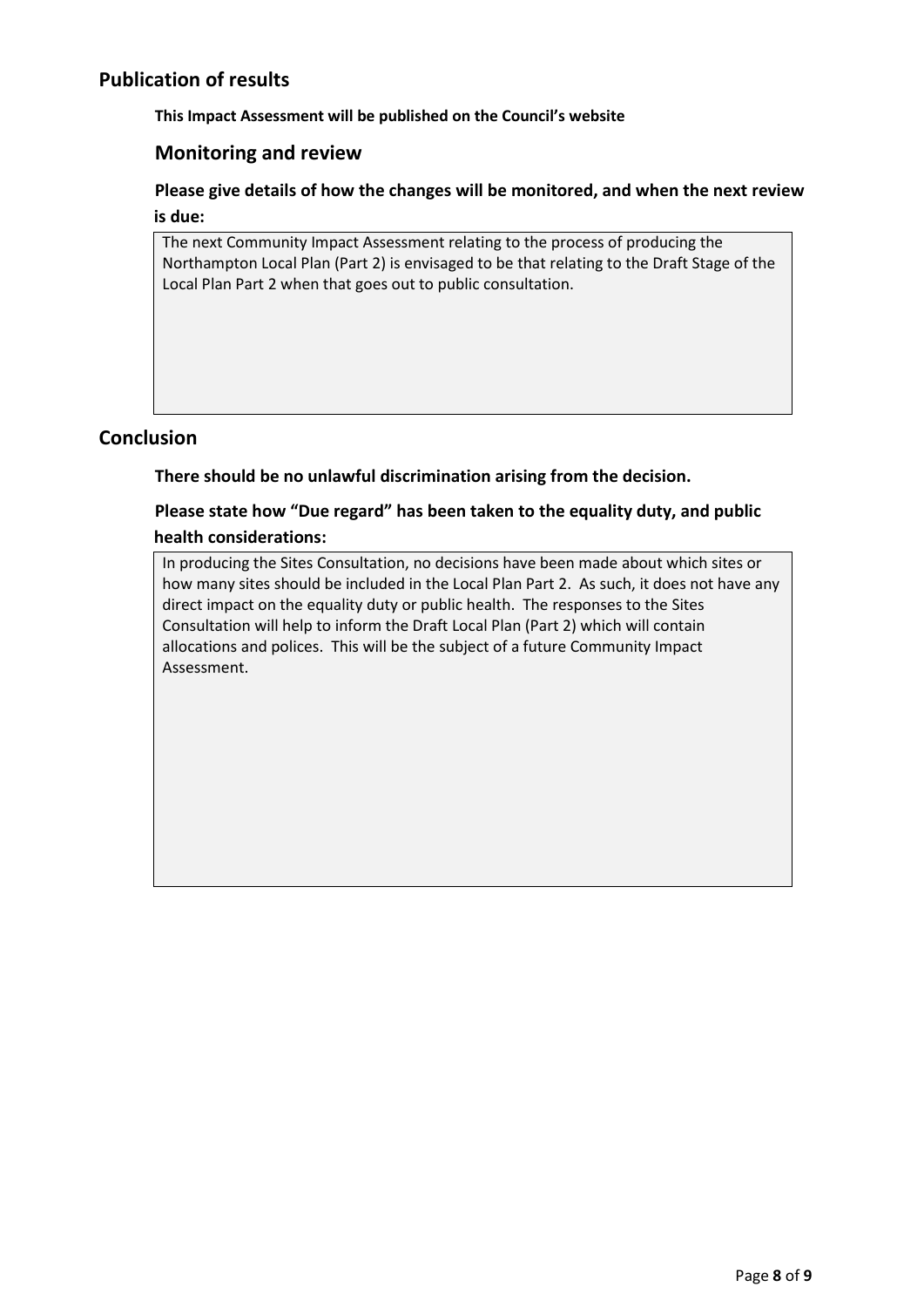## **Publication of results**

**This Impact Assessment will be published on the Council's website**

## **Monitoring and review**

**Please give details of how the changes will be monitored, and when the next review is due:**

The next Community Impact Assessment relating to the process of producing the Northampton Local Plan (Part 2) is envisaged to be that relating to the Draft Stage of the Local Plan Part 2 when that goes out to public consultation.

## **Conclusion**

**There should be no unlawful discrimination arising from the decision.**

## **Please state how "Due regard" has been taken to the equality duty, and public health considerations:**

In producing the Sites Consultation, no decisions have been made about which sites or how many sites should be included in the Local Plan Part 2. As such, it does not have any direct impact on the equality duty or public health. The responses to the Sites Consultation will help to inform the Draft Local Plan (Part 2) which will contain allocations and polices. This will be the subject of a future Community Impact Assessment.